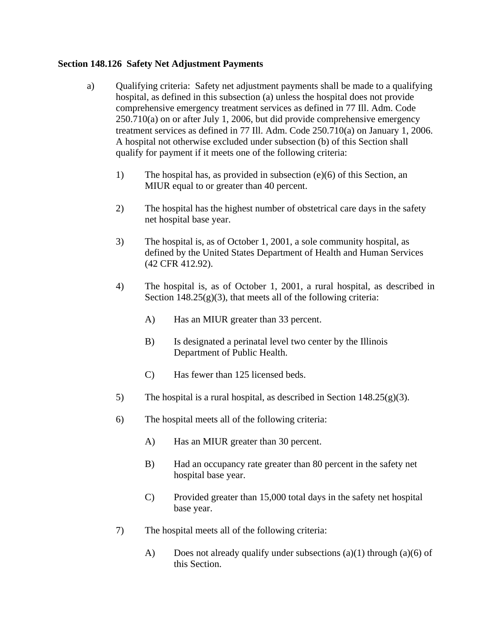## **Section 148.126 Safety Net Adjustment Payments**

- a) Qualifying criteria: Safety net adjustment payments shall be made to a qualifying hospital, as defined in this subsection (a) unless the hospital does not provide comprehensive emergency treatment services as defined in 77 Ill. Adm. Code 250.710(a) on or after July 1, 2006, but did provide comprehensive emergency treatment services as defined in 77 Ill. Adm. Code 250.710(a) on January 1, 2006. A hospital not otherwise excluded under subsection (b) of this Section shall qualify for payment if it meets one of the following criteria:
	- 1) The hospital has, as provided in subsection (e)(6) of this Section, an MIUR equal to or greater than 40 percent.
	- 2) The hospital has the highest number of obstetrical care days in the safety net hospital base year.
	- 3) The hospital is, as of October 1, 2001, a sole community hospital, as defined by the United States Department of Health and Human Services (42 CFR 412.92).
	- 4) The hospital is, as of October 1, 2001, a rural hospital, as described in Section  $148.25(g)(3)$ , that meets all of the following criteria:
		- A) Has an MIUR greater than 33 percent.
		- B) Is designated a perinatal level two center by the Illinois Department of Public Health.
		- C) Has fewer than 125 licensed beds.
	- 5) The hospital is a rural hospital, as described in Section  $148.25(g)(3)$ .
	- 6) The hospital meets all of the following criteria:
		- A) Has an MIUR greater than 30 percent.
		- B) Had an occupancy rate greater than 80 percent in the safety net hospital base year.
		- C) Provided greater than 15,000 total days in the safety net hospital base year.
	- 7) The hospital meets all of the following criteria:
		- A) Does not already qualify under subsections (a)(1) through (a)(6) of this Section.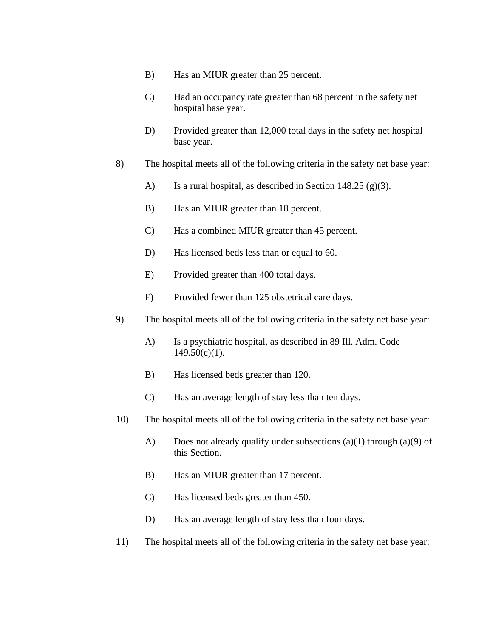- B) Has an MIUR greater than 25 percent.
- C) Had an occupancy rate greater than 68 percent in the safety net hospital base year.
- D) Provided greater than 12,000 total days in the safety net hospital base year.
- 8) The hospital meets all of the following criteria in the safety net base year:
	- A) Is a rural hospital, as described in Section 148.25 (g)(3).
	- B) Has an MIUR greater than 18 percent.
	- C) Has a combined MIUR greater than 45 percent.
	- D) Has licensed beds less than or equal to 60.
	- E) Provided greater than 400 total days.
	- F) Provided fewer than 125 obstetrical care days.
- 9) The hospital meets all of the following criteria in the safety net base year:
	- A) Is a psychiatric hospital, as described in 89 Ill. Adm. Code  $149.50(c)(1)$ .
	- B) Has licensed beds greater than 120.
	- C) Has an average length of stay less than ten days.
- 10) The hospital meets all of the following criteria in the safety net base year:
	- A) Does not already qualify under subsections (a)(1) through (a)(9) of this Section.
	- B) Has an MIUR greater than 17 percent.
	- C) Has licensed beds greater than 450.
	- D) Has an average length of stay less than four days.
- 11) The hospital meets all of the following criteria in the safety net base year: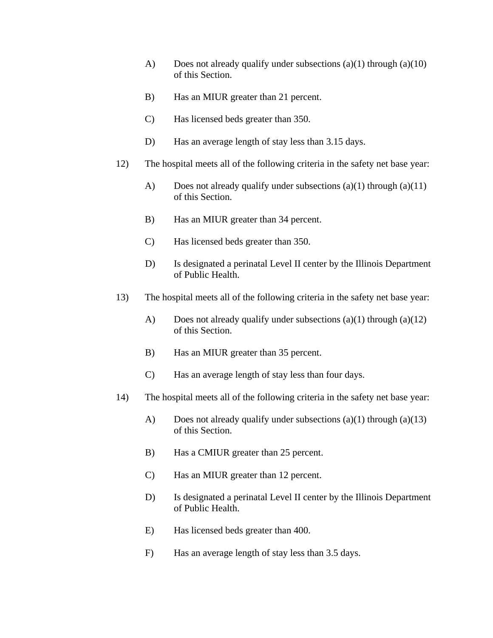- A) Does not already qualify under subsections  $(a)(1)$  through  $(a)(10)$ of this Section.
- B) Has an MIUR greater than 21 percent.
- C) Has licensed beds greater than 350.
- D) Has an average length of stay less than 3.15 days.
- 12) The hospital meets all of the following criteria in the safety net base year:
	- A) Does not already qualify under subsections  $(a)(1)$  through  $(a)(11)$ of this Section.
	- B) Has an MIUR greater than 34 percent.
	- C) Has licensed beds greater than 350.
	- D) Is designated a perinatal Level II center by the Illinois Department of Public Health.
- 13) The hospital meets all of the following criteria in the safety net base year:
	- A) Does not already qualify under subsections (a)(1) through (a)(12) of this Section.
	- B) Has an MIUR greater than 35 percent.
	- C) Has an average length of stay less than four days.
- 14) The hospital meets all of the following criteria in the safety net base year:
	- A) Does not already qualify under subsections  $(a)(1)$  through  $(a)(13)$ of this Section.
	- B) Has a CMIUR greater than 25 percent.
	- C) Has an MIUR greater than 12 percent.
	- D) Is designated a perinatal Level II center by the Illinois Department of Public Health.
	- E) Has licensed beds greater than 400.
	- F) Has an average length of stay less than 3.5 days.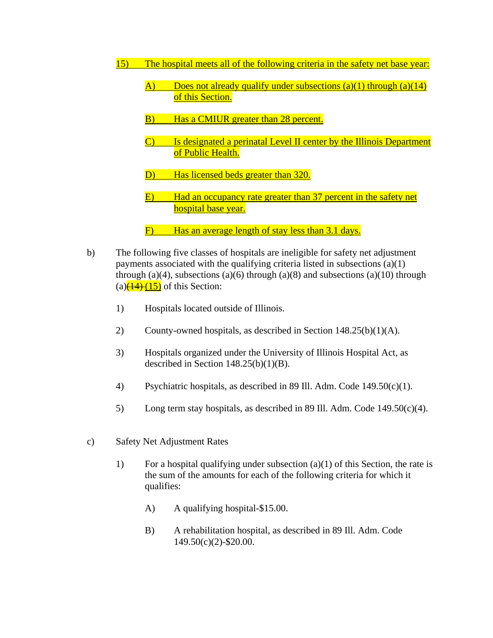- 15) The hospital meets all of the following criteria in the safety net base year:
	- A) Does not already qualify under subsections  $(a)(1)$  through  $(a)(14)$ of this Section.
	- B) Has a CMIUR greater than 28 percent.
	- C) Is designated a perinatal Level II center by the Illinois Department of Public Health.
	- D) Has licensed beds greater than 320.
	- E) Had an occupancy rate greater than 37 percent in the safety net hospital base year.
	- F) Has an average length of stay less than 3.1 days.
- b) The following five classes of hospitals are ineligible for safety net adjustment payments associated with the qualifying criteria listed in subsections (a)(1) through (a)(4), subsections (a)(6) through (a)(8) and subsections (a)(10) through (a) $\left(\frac{(14)}{(15)}\right)$  of this Section:
	- 1) Hospitals located outside of Illinois.
	- 2) County-owned hospitals, as described in Section 148.25(b)(1)(A).
	- 3) Hospitals organized under the University of Illinois Hospital Act, as described in Section  $148.25(b)(1)(B)$ .
	- 4) Psychiatric hospitals, as described in 89 Ill. Adm. Code 149.50(c)(1).
	- 5) Long term stay hospitals, as described in 89 Ill. Adm. Code  $149.50(c)(4)$ .
- c) Safety Net Adjustment Rates
	- 1) For a hospital qualifying under subsection  $(a)(1)$  of this Section, the rate is the sum of the amounts for each of the following criteria for which it qualifies:
		- A) A qualifying hospital-\$15.00.
		- B) A rehabilitation hospital, as described in 89 Ill. Adm. Code 149.50(c)(2)-\$20.00.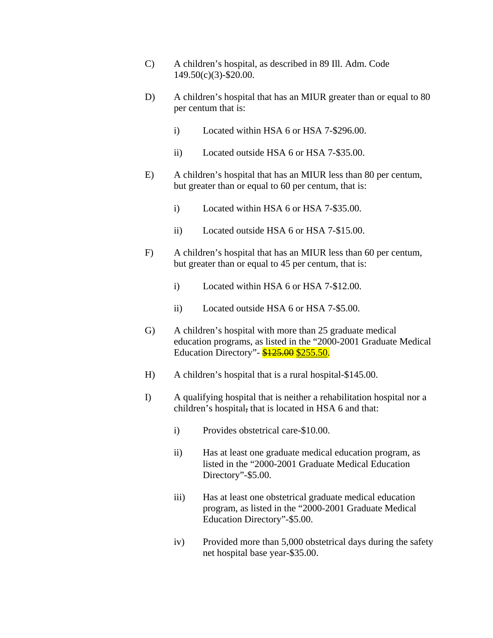- C) A children's hospital, as described in 89 Ill. Adm. Code 149.50(c)(3)-\$20.00.
- D) A children's hospital that has an MIUR greater than or equal to 80 per centum that is:
	- i) Located within HSA 6 or HSA 7-\$296.00.
	- ii) Located outside HSA 6 or HSA 7-\$35.00.
- E) A children's hospital that has an MIUR less than 80 per centum, but greater than or equal to 60 per centum, that is:
	- i) Located within HSA 6 or HSA 7-\$35.00.
	- ii) Located outside HSA 6 or HSA 7-\$15.00.
- F) A children's hospital that has an MIUR less than 60 per centum, but greater than or equal to 45 per centum, that is:
	- i) Located within HSA 6 or HSA 7-\$12.00.
	- ii) Located outside HSA 6 or HSA 7-\$5.00.
- G) A children's hospital with more than 25 graduate medical education programs, as listed in the "2000-2001 Graduate Medical Education Directory" - \$125.00 \$255.50.
- H) A children's hospital that is a rural hospital-\$145.00.
- I) A qualifying hospital that is neither a rehabilitation hospital nor a children's hospital, that is located in HSA 6 and that:
	- i) Provides obstetrical care-\$10.00.
	- ii) Has at least one graduate medical education program, as listed in the "2000-2001 Graduate Medical Education Directory"-\$5.00.
	- iii) Has at least one obstetrical graduate medical education program, as listed in the "2000-2001 Graduate Medical Education Directory"-\$5.00.
	- iv) Provided more than 5,000 obstetrical days during the safety net hospital base year-\$35.00.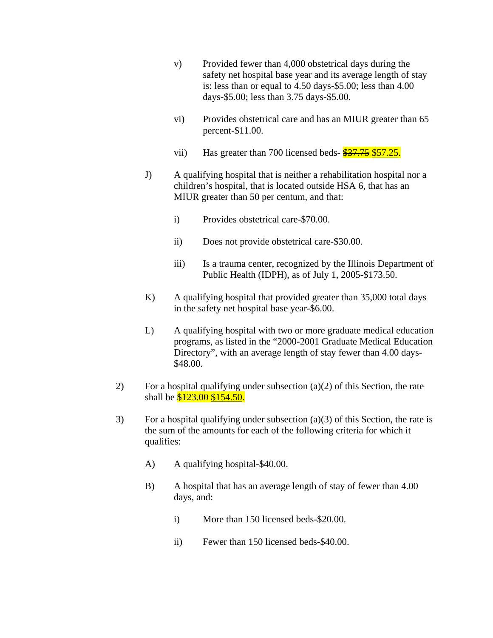- v) Provided fewer than 4,000 obstetrical days during the safety net hospital base year and its average length of stay is: less than or equal to 4.50 days-\$5.00; less than 4.00 days-\$5.00; less than 3.75 days-\$5.00.
- vi) Provides obstetrical care and has an MIUR greater than 65 percent-\$11.00.
- vii) Has greater than 700 licensed beds- $\frac{$37.75}{$57.25}$ .
- J) A qualifying hospital that is neither a rehabilitation hospital nor a children's hospital, that is located outside HSA 6, that has an MIUR greater than 50 per centum, and that:
	- i) Provides obstetrical care-\$70.00.
	- ii) Does not provide obstetrical care-\$30.00.
	- iii) Is a trauma center, recognized by the Illinois Department of Public Health (IDPH), as of July 1, 2005-\$173.50.
- K) A qualifying hospital that provided greater than 35,000 total days in the safety net hospital base year-\$6.00.
- L) A qualifying hospital with two or more graduate medical education programs, as listed in the "2000-2001 Graduate Medical Education Directory", with an average length of stay fewer than 4.00 days- \$48.00.
- 2) For a hospital qualifying under subsection  $(a)(2)$  of this Section, the rate shall be  $\frac{$123.00}{$154.50}$ .
- 3) For a hospital qualifying under subsection (a)(3) of this Section, the rate is the sum of the amounts for each of the following criteria for which it qualifies:
	- A) A qualifying hospital-\$40.00.
	- B) A hospital that has an average length of stay of fewer than 4.00 days, and:
		- i) More than 150 licensed beds-\$20.00.
		- ii) Fewer than 150 licensed beds-\$40.00.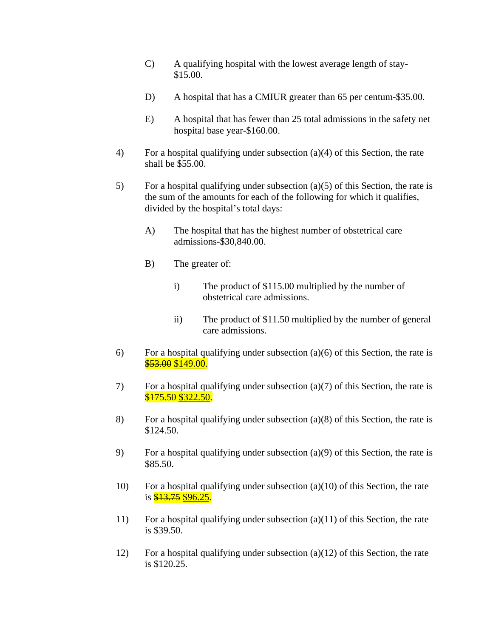- C) A qualifying hospital with the lowest average length of stay- \$15.00.
- D) A hospital that has a CMIUR greater than 65 per centum-\$35.00.
- E) A hospital that has fewer than 25 total admissions in the safety net hospital base year-\$160.00.
- 4) For a hospital qualifying under subsection (a)(4) of this Section, the rate shall be \$55.00.
- 5) For a hospital qualifying under subsection (a)(5) of this Section, the rate is the sum of the amounts for each of the following for which it qualifies, divided by the hospital's total days:
	- A) The hospital that has the highest number of obstetrical care admissions-\$30,840.00.
	- B) The greater of:
		- i) The product of \$115.00 multiplied by the number of obstetrical care admissions.
		- ii) The product of \$11.50 multiplied by the number of general care admissions.
- 6) For a hospital qualifying under subsection  $(a)(6)$  of this Section, the rate is  $$53.00$  \$149.00.
- 7) For a hospital qualifying under subsection (a)(7) of this Section, the rate is \$175.50 \$322.50.
- 8) For a hospital qualifying under subsection (a)(8) of this Section, the rate is \$124.50.
- 9) For a hospital qualifying under subsection (a)(9) of this Section, the rate is \$85.50.
- 10) For a hospital qualifying under subsection (a)(10) of this Section, the rate is  $\frac{$13.75}{$96.25}$ .
- 11) For a hospital qualifying under subsection (a)(11) of this Section, the rate is \$39.50.
- 12) For a hospital qualifying under subsection  $(a)(12)$  of this Section, the rate is \$120.25.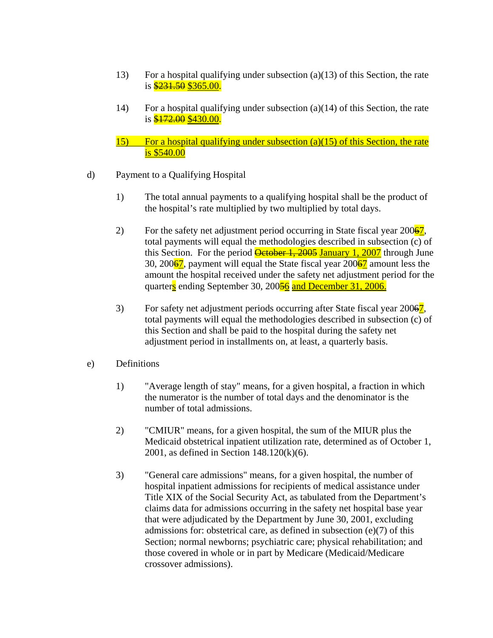- 13) For a hospital qualifying under subsection (a)(13) of this Section, the rate is **\$231.50 \$365.00.**
- 14) For a hospital qualifying under subsection (a)(14) of this Section, the rate is **\$172.00 \$430.00.**
- 15) For a hospital qualifying under subsection (a)(15) of this Section, the rate is \$540.00
- d) Payment to a Qualifying Hospital
	- 1) The total annual payments to a qualifying hospital shall be the product of the hospital's rate multiplied by two multiplied by total days.
	- 2) For the safety net adjustment period occurring in State fiscal year  $200\frac{67}{10}$ , total payments will equal the methodologies described in subsection (c) of this Section. For the period  $\frac{q}{\text{C}}$   $\frac{q}{q}$  January 1, 2007 through June 30, 200 $\frac{67}{1}$ , payment will equal the State fiscal year 200 $\frac{67}{1}$  amount less the amount the hospital received under the safety net adjustment period for the quarters ending September 30, 20056 and December 31, 2006.
	- 3) For safety net adjustment periods occurring after State fiscal year 20067, total payments will equal the methodologies described in subsection (c) of this Section and shall be paid to the hospital during the safety net adjustment period in installments on, at least, a quarterly basis.
- e) Definitions
	- 1) "Average length of stay" means, for a given hospital, a fraction in which the numerator is the number of total days and the denominator is the number of total admissions.
	- 2) "CMIUR" means, for a given hospital, the sum of the MIUR plus the Medicaid obstetrical inpatient utilization rate, determined as of October 1, 2001, as defined in Section 148.120(k)(6).
	- 3) "General care admissions" means, for a given hospital, the number of hospital inpatient admissions for recipients of medical assistance under Title XIX of the Social Security Act, as tabulated from the Department's claims data for admissions occurring in the safety net hospital base year that were adjudicated by the Department by June 30, 2001, excluding admissions for: obstetrical care, as defined in subsection (e)(7) of this Section; normal newborns; psychiatric care; physical rehabilitation; and those covered in whole or in part by Medicare (Medicaid/Medicare crossover admissions).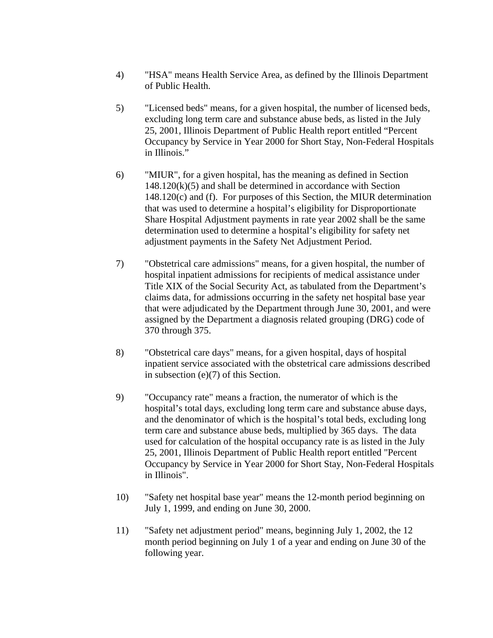- 4) "HSA" means Health Service Area, as defined by the Illinois Department of Public Health.
- 5) "Licensed beds" means, for a given hospital, the number of licensed beds, excluding long term care and substance abuse beds, as listed in the July 25, 2001, Illinois Department of Public Health report entitled "Percent Occupancy by Service in Year 2000 for Short Stay, Non-Federal Hospitals in Illinois."
- 6) "MIUR", for a given hospital, has the meaning as defined in Section 148.120(k)(5) and shall be determined in accordance with Section 148.120(c) and (f). For purposes of this Section, the MIUR determination that was used to determine a hospital's eligibility for Disproportionate Share Hospital Adjustment payments in rate year 2002 shall be the same determination used to determine a hospital's eligibility for safety net adjustment payments in the Safety Net Adjustment Period.
- 7) "Obstetrical care admissions" means, for a given hospital, the number of hospital inpatient admissions for recipients of medical assistance under Title XIX of the Social Security Act, as tabulated from the Department's claims data, for admissions occurring in the safety net hospital base year that were adjudicated by the Department through June 30, 2001, and were assigned by the Department a diagnosis related grouping (DRG) code of 370 through 375.
- 8) "Obstetrical care days" means, for a given hospital, days of hospital inpatient service associated with the obstetrical care admissions described in subsection (e)(7) of this Section.
- 9) "Occupancy rate" means a fraction, the numerator of which is the hospital's total days, excluding long term care and substance abuse days, and the denominator of which is the hospital's total beds, excluding long term care and substance abuse beds, multiplied by 365 days. The data used for calculation of the hospital occupancy rate is as listed in the July 25, 2001, Illinois Department of Public Health report entitled "Percent Occupancy by Service in Year 2000 for Short Stay, Non-Federal Hospitals in Illinois".
- 10) "Safety net hospital base year" means the 12-month period beginning on July 1, 1999, and ending on June 30, 2000.
- 11) "Safety net adjustment period" means, beginning July 1, 2002, the 12 month period beginning on July 1 of a year and ending on June 30 of the following year.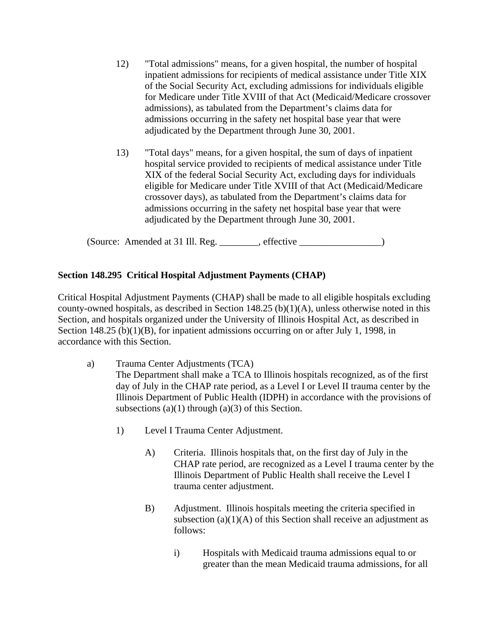- 12) "Total admissions" means, for a given hospital, the number of hospital inpatient admissions for recipients of medical assistance under Title XIX of the Social Security Act, excluding admissions for individuals eligible for Medicare under Title XVIII of that Act (Medicaid/Medicare crossover admissions), as tabulated from the Department's claims data for admissions occurring in the safety net hospital base year that were adjudicated by the Department through June 30, 2001.
- 13) "Total days" means, for a given hospital, the sum of days of inpatient hospital service provided to recipients of medical assistance under Title XIX of the federal Social Security Act, excluding days for individuals eligible for Medicare under Title XVIII of that Act (Medicaid/Medicare crossover days), as tabulated from the Department's claims data for admissions occurring in the safety net hospital base year that were adjudicated by the Department through June 30, 2001.

(Source: Amended at 31 Ill. Reg. \_\_\_\_\_\_\_\_, effective \_\_\_\_\_\_\_\_\_\_\_\_\_\_\_\_\_)

## **Section 148.295 Critical Hospital Adjustment Payments (CHAP)**

Critical Hospital Adjustment Payments (CHAP) shall be made to all eligible hospitals excluding county-owned hospitals, as described in Section 148.25 (b)(1)(A), unless otherwise noted in this Section, and hospitals organized under the University of Illinois Hospital Act, as described in Section 148.25 (b)(1)(B), for inpatient admissions occurring on or after July 1, 1998, in accordance with this Section.

- a) Trauma Center Adjustments (TCA) The Department shall make a TCA to Illinois hospitals recognized, as of the first day of July in the CHAP rate period, as a Level I or Level II trauma center by the Illinois Department of Public Health (IDPH) in accordance with the provisions of subsections  $(a)(1)$  through  $(a)(3)$  of this Section.
	- 1) Level I Trauma Center Adjustment.
		- A) Criteria. Illinois hospitals that, on the first day of July in the CHAP rate period, are recognized as a Level I trauma center by the Illinois Department of Public Health shall receive the Level I trauma center adjustment.
		- B) Adjustment. Illinois hospitals meeting the criteria specified in subsection  $(a)(1)(A)$  of this Section shall receive an adjustment as follows:
			- i) Hospitals with Medicaid trauma admissions equal to or greater than the mean Medicaid trauma admissions, for all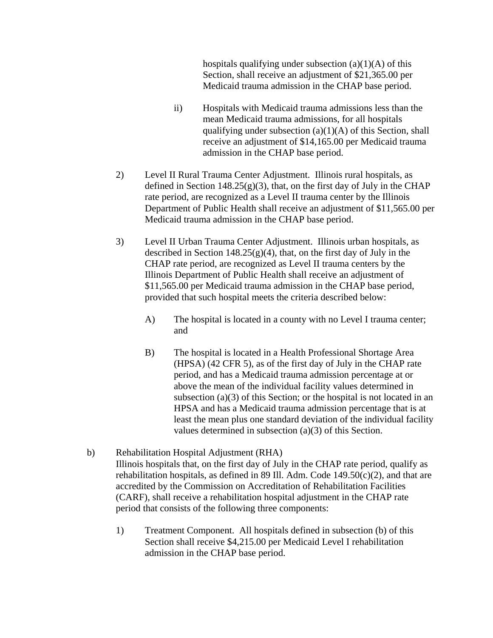hospitals qualifying under subsection  $(a)(1)(A)$  of this Section, shall receive an adjustment of \$21,365.00 per Medicaid trauma admission in the CHAP base period.

- ii) Hospitals with Medicaid trauma admissions less than the mean Medicaid trauma admissions, for all hospitals qualifying under subsection  $(a)(1)(A)$  of this Section, shall receive an adjustment of \$14,165.00 per Medicaid trauma admission in the CHAP base period.
- 2) Level II Rural Trauma Center Adjustment. Illinois rural hospitals, as defined in Section 148.25 $(g)(3)$ , that, on the first day of July in the CHAP rate period, are recognized as a Level II trauma center by the Illinois Department of Public Health shall receive an adjustment of \$11,565.00 per Medicaid trauma admission in the CHAP base period.
- 3) Level II Urban Trauma Center Adjustment. Illinois urban hospitals, as described in Section  $148.25(g)(4)$ , that, on the first day of July in the CHAP rate period, are recognized as Level II trauma centers by the Illinois Department of Public Health shall receive an adjustment of \$11,565.00 per Medicaid trauma admission in the CHAP base period, provided that such hospital meets the criteria described below:
	- A) The hospital is located in a county with no Level I trauma center; and
	- B) The hospital is located in a Health Professional Shortage Area (HPSA) (42 CFR 5), as of the first day of July in the CHAP rate period, and has a Medicaid trauma admission percentage at or above the mean of the individual facility values determined in subsection (a)(3) of this Section; or the hospital is not located in an HPSA and has a Medicaid trauma admission percentage that is at least the mean plus one standard deviation of the individual facility values determined in subsection (a)(3) of this Section.
- b) Rehabilitation Hospital Adjustment (RHA) Illinois hospitals that, on the first day of July in the CHAP rate period, qualify as rehabilitation hospitals, as defined in 89 Ill. Adm. Code  $149.50(c)(2)$ , and that are accredited by the Commission on Accreditation of Rehabilitation Facilities (CARF), shall receive a rehabilitation hospital adjustment in the CHAP rate period that consists of the following three components:
	- 1) Treatment Component. All hospitals defined in subsection (b) of this Section shall receive \$4,215.00 per Medicaid Level I rehabilitation admission in the CHAP base period.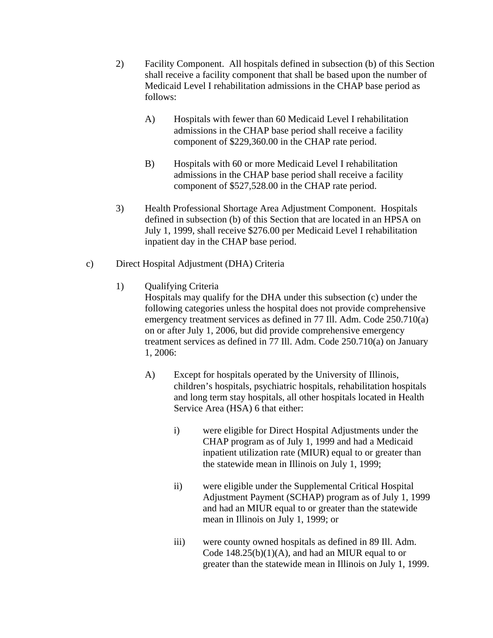- 2) Facility Component. All hospitals defined in subsection (b) of this Section shall receive a facility component that shall be based upon the number of Medicaid Level I rehabilitation admissions in the CHAP base period as follows:
	- A) Hospitals with fewer than 60 Medicaid Level I rehabilitation admissions in the CHAP base period shall receive a facility component of \$229,360.00 in the CHAP rate period.
	- B) Hospitals with 60 or more Medicaid Level I rehabilitation admissions in the CHAP base period shall receive a facility component of \$527,528.00 in the CHAP rate period.
- 3) Health Professional Shortage Area Adjustment Component. Hospitals defined in subsection (b) of this Section that are located in an HPSA on July 1, 1999, shall receive \$276.00 per Medicaid Level I rehabilitation inpatient day in the CHAP base period.
- c) Direct Hospital Adjustment (DHA) Criteria
	- 1) Qualifying Criteria

Hospitals may qualify for the DHA under this subsection (c) under the following categories unless the hospital does not provide comprehensive emergency treatment services as defined in 77 Ill. Adm. Code 250.710(a) on or after July 1, 2006, but did provide comprehensive emergency treatment services as defined in 77 Ill. Adm. Code 250.710(a) on January 1, 2006:

- A) Except for hospitals operated by the University of Illinois, children's hospitals, psychiatric hospitals, rehabilitation hospitals and long term stay hospitals, all other hospitals located in Health Service Area (HSA) 6 that either:
	- i) were eligible for Direct Hospital Adjustments under the CHAP program as of July 1, 1999 and had a Medicaid inpatient utilization rate (MIUR) equal to or greater than the statewide mean in Illinois on July 1, 1999;
	- ii) were eligible under the Supplemental Critical Hospital Adjustment Payment (SCHAP) program as of July 1, 1999 and had an MIUR equal to or greater than the statewide mean in Illinois on July 1, 1999; or
	- iii) were county owned hospitals as defined in 89 Ill. Adm. Code 148.25(b)(1)(A), and had an MIUR equal to or greater than the statewide mean in Illinois on July 1, 1999.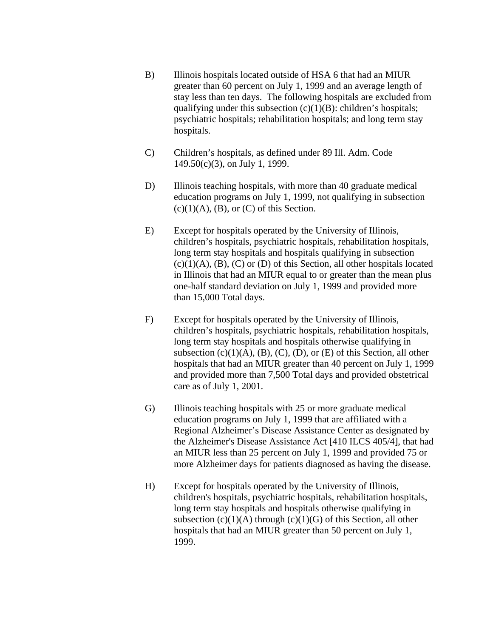- B) Illinois hospitals located outside of HSA 6 that had an MIUR greater than 60 percent on July 1, 1999 and an average length of stay less than ten days. The following hospitals are excluded from qualifying under this subsection  $(c)(1)(B)$ : children's hospitals; psychiatric hospitals; rehabilitation hospitals; and long term stay hospitals.
- C) Children's hospitals, as defined under 89 Ill. Adm. Code 149.50(c)(3), on July 1, 1999.
- D) Illinois teaching hospitals, with more than 40 graduate medical education programs on July 1, 1999, not qualifying in subsection  $(c)(1)(A)$ ,  $(B)$ , or  $(C)$  of this Section.
- E) Except for hospitals operated by the University of Illinois, children's hospitals, psychiatric hospitals, rehabilitation hospitals, long term stay hospitals and hospitals qualifying in subsection  $(c)(1)(A)$ ,  $(B)$ ,  $(C)$  or  $(D)$  of this Section, all other hospitals located in Illinois that had an MIUR equal to or greater than the mean plus one-half standard deviation on July 1, 1999 and provided more than 15,000 Total days.
- F) Except for hospitals operated by the University of Illinois, children's hospitals, psychiatric hospitals, rehabilitation hospitals, long term stay hospitals and hospitals otherwise qualifying in subsection  $(c)(1)(A)$ ,  $(B)$ ,  $(C)$ ,  $(D)$ , or  $(E)$  of this Section, all other hospitals that had an MIUR greater than 40 percent on July 1, 1999 and provided more than 7,500 Total days and provided obstetrical care as of July 1, 2001.
- G) Illinois teaching hospitals with 25 or more graduate medical education programs on July 1, 1999 that are affiliated with a Regional Alzheimer's Disease Assistance Center as designated by the Alzheimer's Disease Assistance Act [410 ILCS 405/4], that had an MIUR less than 25 percent on July 1, 1999 and provided 75 or more Alzheimer days for patients diagnosed as having the disease.
- H) Except for hospitals operated by the University of Illinois, children's hospitals, psychiatric hospitals, rehabilitation hospitals, long term stay hospitals and hospitals otherwise qualifying in subsection  $(c)(1)(A)$  through  $(c)(1)(G)$  of this Section, all other hospitals that had an MIUR greater than 50 percent on July 1, 1999.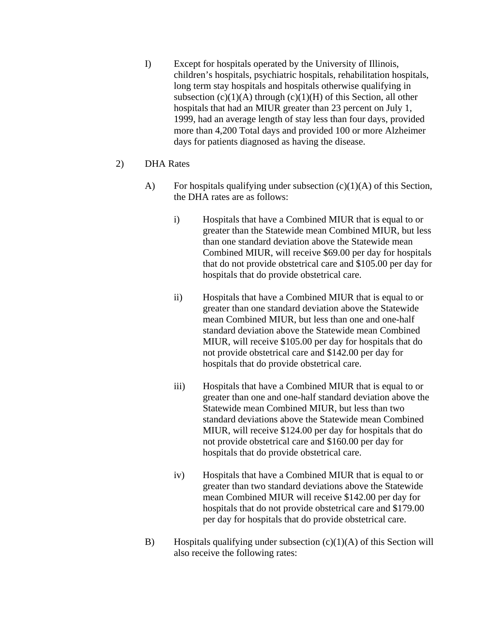- I) Except for hospitals operated by the University of Illinois, children's hospitals, psychiatric hospitals, rehabilitation hospitals, long term stay hospitals and hospitals otherwise qualifying in subsection  $(c)(1)(A)$  through  $(c)(1)(H)$  of this Section, all other hospitals that had an MIUR greater than 23 percent on July 1, 1999, had an average length of stay less than four days, provided more than 4,200 Total days and provided 100 or more Alzheimer days for patients diagnosed as having the disease.
- 2) DHA Rates
	- A) For hospitals qualifying under subsection  $(c)(1)(A)$  of this Section, the DHA rates are as follows:
		- i) Hospitals that have a Combined MIUR that is equal to or greater than the Statewide mean Combined MIUR, but less than one standard deviation above the Statewide mean Combined MIUR, will receive \$69.00 per day for hospitals that do not provide obstetrical care and \$105.00 per day for hospitals that do provide obstetrical care.
		- ii) Hospitals that have a Combined MIUR that is equal to or greater than one standard deviation above the Statewide mean Combined MIUR, but less than one and one-half standard deviation above the Statewide mean Combined MIUR, will receive \$105.00 per day for hospitals that do not provide obstetrical care and \$142.00 per day for hospitals that do provide obstetrical care.
		- iii) Hospitals that have a Combined MIUR that is equal to or greater than one and one-half standard deviation above the Statewide mean Combined MIUR, but less than two standard deviations above the Statewide mean Combined MIUR, will receive \$124.00 per day for hospitals that do not provide obstetrical care and \$160.00 per day for hospitals that do provide obstetrical care.
		- iv) Hospitals that have a Combined MIUR that is equal to or greater than two standard deviations above the Statewide mean Combined MIUR will receive \$142.00 per day for hospitals that do not provide obstetrical care and \$179.00 per day for hospitals that do provide obstetrical care.
	- B) Hospitals qualifying under subsection  $(c)(1)(A)$  of this Section will also receive the following rates: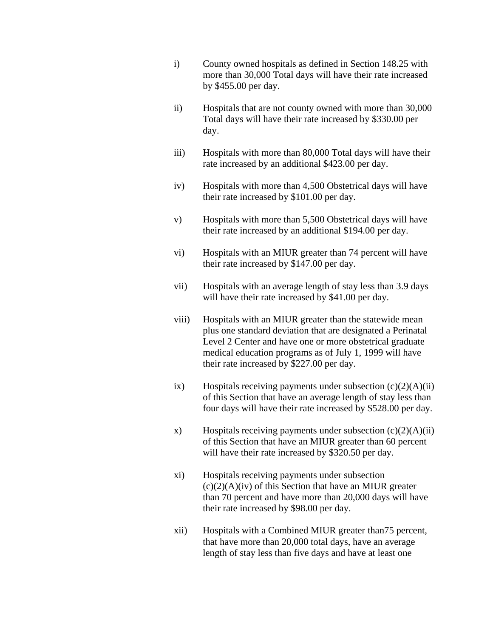- i) County owned hospitals as defined in Section 148.25 with more than 30,000 Total days will have their rate increased by \$455.00 per day.
- ii) Hospitals that are not county owned with more than 30,000 Total days will have their rate increased by \$330.00 per day.
- iii) Hospitals with more than 80,000 Total days will have their rate increased by an additional \$423.00 per day.
- iv) Hospitals with more than 4,500 Obstetrical days will have their rate increased by \$101.00 per day.
- v) Hospitals with more than 5,500 Obstetrical days will have their rate increased by an additional \$194.00 per day.
- vi) Hospitals with an MIUR greater than 74 percent will have their rate increased by \$147.00 per day.
- vii) Hospitals with an average length of stay less than 3.9 days will have their rate increased by \$41.00 per day.
- viii) Hospitals with an MIUR greater than the statewide mean plus one standard deviation that are designated a Perinatal Level 2 Center and have one or more obstetrical graduate medical education programs as of July 1, 1999 will have their rate increased by \$227.00 per day.
- ix) Hospitals receiving payments under subsection  $(c)(2)(A)(ii)$ of this Section that have an average length of stay less than four days will have their rate increased by \$528.00 per day.
- x) Hospitals receiving payments under subsection  $(c)(2)(A)(ii)$ of this Section that have an MIUR greater than 60 percent will have their rate increased by \$320.50 per day.
- xi) Hospitals receiving payments under subsection  $(c)(2)(A)(iv)$  of this Section that have an MIUR greater than 70 percent and have more than 20,000 days will have their rate increased by \$98.00 per day.
- xii) Hospitals with a Combined MIUR greater than75 percent, that have more than 20,000 total days, have an average length of stay less than five days and have at least one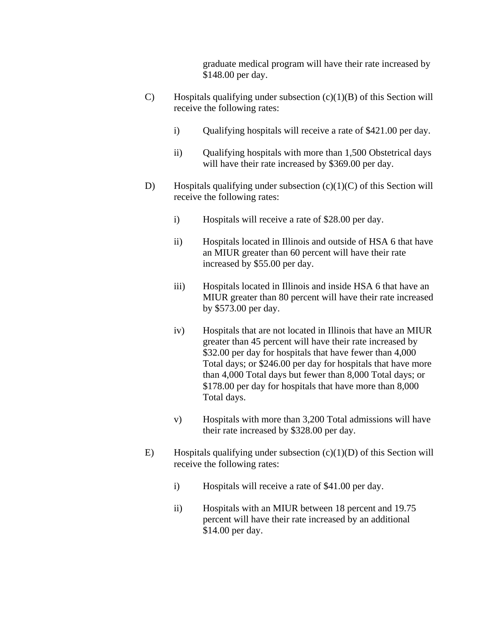graduate medical program will have their rate increased by \$148.00 per day.

- C) Hospitals qualifying under subsection  $(c)(1)(B)$  of this Section will receive the following rates:
	- i) Qualifying hospitals will receive a rate of \$421.00 per day.
	- ii) Qualifying hospitals with more than 1,500 Obstetrical days will have their rate increased by \$369.00 per day.
- D) Hospitals qualifying under subsection  $(c)(1)(C)$  of this Section will receive the following rates:
	- i) Hospitals will receive a rate of \$28.00 per day.
	- ii) Hospitals located in Illinois and outside of HSA 6 that have an MIUR greater than 60 percent will have their rate increased by \$55.00 per day.
	- iii) Hospitals located in Illinois and inside HSA 6 that have an MIUR greater than 80 percent will have their rate increased by \$573.00 per day.
	- iv) Hospitals that are not located in Illinois that have an MIUR greater than 45 percent will have their rate increased by \$32.00 per day for hospitals that have fewer than 4,000 Total days; or \$246.00 per day for hospitals that have more than 4,000 Total days but fewer than 8,000 Total days; or \$178.00 per day for hospitals that have more than 8,000 Total days.
	- v) Hospitals with more than 3,200 Total admissions will have their rate increased by \$328.00 per day.
- E) Hospitals qualifying under subsection  $(c)(1)(D)$  of this Section will receive the following rates:
	- i) Hospitals will receive a rate of \$41.00 per day.
	- ii) Hospitals with an MIUR between 18 percent and 19.75 percent will have their rate increased by an additional \$14.00 per day.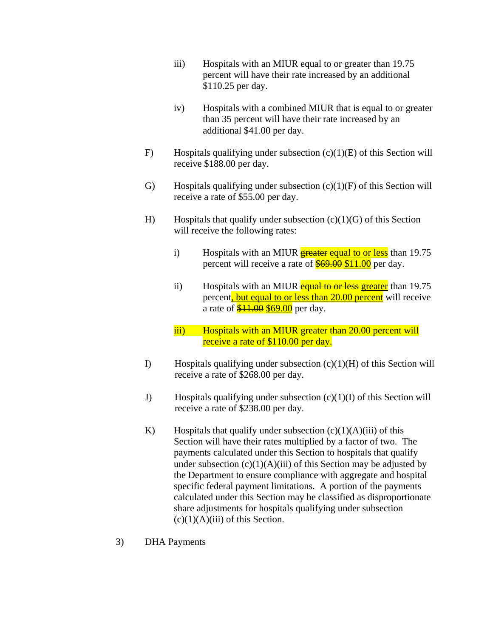- iii) Hospitals with an MIUR equal to or greater than 19.75 percent will have their rate increased by an additional \$110.25 per day.
- iv) Hospitals with a combined MIUR that is equal to or greater than 35 percent will have their rate increased by an additional \$41.00 per day.
- F) Hospitals qualifying under subsection  $(c)(1)(E)$  of this Section will receive \$188.00 per day.
- G) Hospitals qualifying under subsection  $(c)(1)(F)$  of this Section will receive a rate of \$55.00 per day.
- H) Hospitals that qualify under subsection  $(c)(1)(G)$  of this Section will receive the following rates:
	- i) Hospitals with an MIUR  $\frac{1}{2}$  example to  $\frac{1}{2}$  than 19.75 percent will receive a rate of **\$69.00 \$11.00** per day.
	- ii) Hospitals with an MIUR equal to or less greater than 19.75 percent, but equal to or less than 20.00 percent will receive a rate of  $$11.00 $69.00$  per day.
	- iii) Hospitals with an MIUR greater than 20.00 percent will receive a rate of \$110.00 per day.
- I) Hospitals qualifying under subsection  $(c)(1)(H)$  of this Section will receive a rate of \$268.00 per day.
- J) Hospitals qualifying under subsection (c)(1)(I) of this Section will receive a rate of \$238.00 per day.
- K) Hospitals that qualify under subsection  $(c)(1)(A)(iii)$  of this Section will have their rates multiplied by a factor of two. The payments calculated under this Section to hospitals that qualify under subsection  $(c)(1)(A)(iii)$  of this Section may be adjusted by the Department to ensure compliance with aggregate and hospital specific federal payment limitations. A portion of the payments calculated under this Section may be classified as disproportionate share adjustments for hospitals qualifying under subsection  $(c)(1)(A)(iii)$  of this Section.
- 3) DHA Payments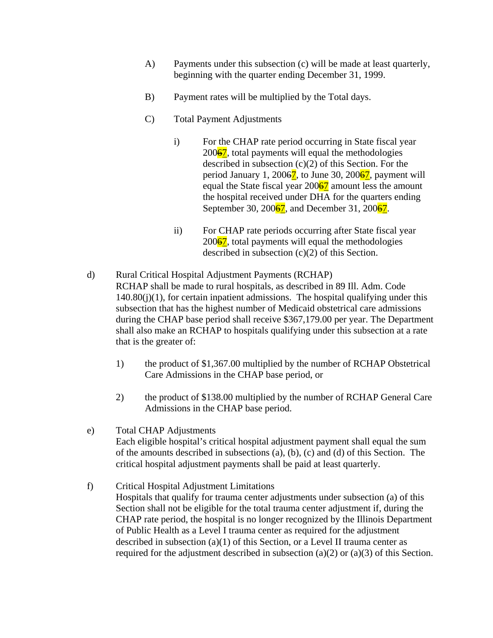- A) Payments under this subsection (c) will be made at least quarterly, beginning with the quarter ending December 31, 1999.
- B) Payment rates will be multiplied by the Total days.
- C) Total Payment Adjustments
	- i) For the CHAP rate period occurring in State fiscal year  $200\overline{67}$ , total payments will equal the methodologies described in subsection  $(c)(2)$  of this Section. For the period January 1, 2006 $\frac{7}{2}$ , to June 30, 2006 $\frac{7}{2}$ , payment will equal the State fiscal year  $200\frac{67}{1}$  amount less the amount the hospital received under DHA for the quarters ending September 30, 200 $\frac{67}{1}$ , and December 31, 200 $\frac{67}{1}$ .
	- ii) For CHAP rate periods occurring after State fiscal year  $200\overline{67}$ , total payments will equal the methodologies described in subsection (c)(2) of this Section.
- d) Rural Critical Hospital Adjustment Payments (RCHAP) RCHAP shall be made to rural hospitals, as described in 89 Ill. Adm. Code  $140.80(i)(1)$ , for certain inpatient admissions. The hospital qualifying under this subsection that has the highest number of Medicaid obstetrical care admissions during the CHAP base period shall receive \$367,179.00 per year. The Department shall also make an RCHAP to hospitals qualifying under this subsection at a rate that is the greater of:
	- 1) the product of \$1,367.00 multiplied by the number of RCHAP Obstetrical Care Admissions in the CHAP base period, or
	- 2) the product of \$138.00 multiplied by the number of RCHAP General Care Admissions in the CHAP base period.
- e) Total CHAP Adjustments Each eligible hospital's critical hospital adjustment payment shall equal the sum of the amounts described in subsections (a), (b), (c) and (d) of this Section. The critical hospital adjustment payments shall be paid at least quarterly.
- f) Critical Hospital Adjustment Limitations Hospitals that qualify for trauma center adjustments under subsection (a) of this Section shall not be eligible for the total trauma center adjustment if, during the CHAP rate period, the hospital is no longer recognized by the Illinois Department of Public Health as a Level I trauma center as required for the adjustment described in subsection (a)(1) of this Section, or a Level II trauma center as required for the adjustment described in subsection (a)(2) or (a)(3) of this Section.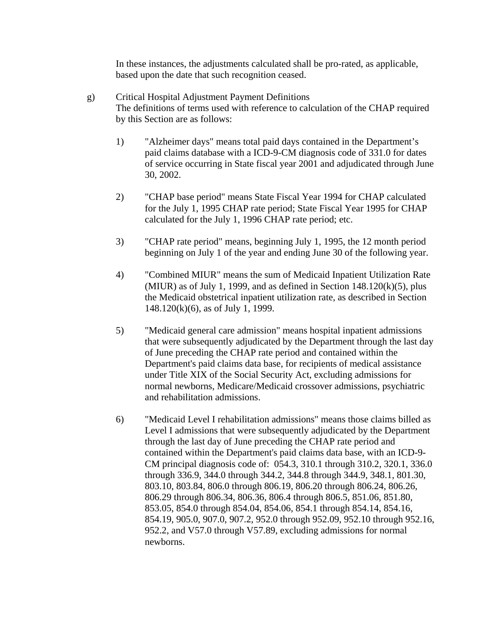In these instances, the adjustments calculated shall be pro-rated, as applicable, based upon the date that such recognition ceased.

- g) Critical Hospital Adjustment Payment Definitions The definitions of terms used with reference to calculation of the CHAP required by this Section are as follows:
	- 1) "Alzheimer days" means total paid days contained in the Department's paid claims database with a ICD-9-CM diagnosis code of 331.0 for dates of service occurring in State fiscal year 2001 and adjudicated through June 30, 2002.
	- 2) "CHAP base period" means State Fiscal Year 1994 for CHAP calculated for the July 1, 1995 CHAP rate period; State Fiscal Year 1995 for CHAP calculated for the July 1, 1996 CHAP rate period; etc.
	- 3) "CHAP rate period" means, beginning July 1, 1995, the 12 month period beginning on July 1 of the year and ending June 30 of the following year.
	- 4) "Combined MIUR" means the sum of Medicaid Inpatient Utilization Rate (MIUR) as of July 1, 1999, and as defined in Section  $148.120(k)(5)$ , plus the Medicaid obstetrical inpatient utilization rate, as described in Section 148.120(k)(6), as of July 1, 1999.
	- 5) "Medicaid general care admission" means hospital inpatient admissions that were subsequently adjudicated by the Department through the last day of June preceding the CHAP rate period and contained within the Department's paid claims data base, for recipients of medical assistance under Title XIX of the Social Security Act, excluding admissions for normal newborns, Medicare/Medicaid crossover admissions, psychiatric and rehabilitation admissions.
	- 6) "Medicaid Level I rehabilitation admissions" means those claims billed as Level I admissions that were subsequently adjudicated by the Department through the last day of June preceding the CHAP rate period and contained within the Department's paid claims data base, with an ICD-9- CM principal diagnosis code of: 054.3, 310.1 through 310.2, 320.1, 336.0 through 336.9, 344.0 through 344.2, 344.8 through 344.9, 348.1, 801.30, 803.10, 803.84, 806.0 through 806.19, 806.20 through 806.24, 806.26, 806.29 through 806.34, 806.36, 806.4 through 806.5, 851.06, 851.80, 853.05, 854.0 through 854.04, 854.06, 854.1 through 854.14, 854.16, 854.19, 905.0, 907.0, 907.2, 952.0 through 952.09, 952.10 through 952.16, 952.2, and V57.0 through V57.89, excluding admissions for normal newborns.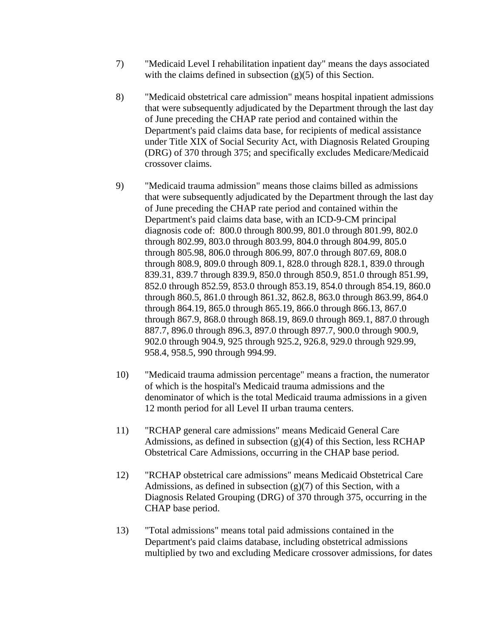- 7) "Medicaid Level I rehabilitation inpatient day" means the days associated with the claims defined in subsection (g)(5) of this Section.
- 8) "Medicaid obstetrical care admission" means hospital inpatient admissions that were subsequently adjudicated by the Department through the last day of June preceding the CHAP rate period and contained within the Department's paid claims data base, for recipients of medical assistance under Title XIX of Social Security Act, with Diagnosis Related Grouping (DRG) of 370 through 375; and specifically excludes Medicare/Medicaid crossover claims.
- 9) "Medicaid trauma admission" means those claims billed as admissions that were subsequently adjudicated by the Department through the last day of June preceding the CHAP rate period and contained within the Department's paid claims data base, with an ICD-9-CM principal diagnosis code of: 800.0 through 800.99, 801.0 through 801.99, 802.0 through 802.99, 803.0 through 803.99, 804.0 through 804.99, 805.0 through 805.98, 806.0 through 806.99, 807.0 through 807.69, 808.0 through 808.9, 809.0 through 809.1, 828.0 through 828.1, 839.0 through 839.31, 839.7 through 839.9, 850.0 through 850.9, 851.0 through 851.99, 852.0 through 852.59, 853.0 through 853.19, 854.0 through 854.19, 860.0 through 860.5, 861.0 through 861.32, 862.8, 863.0 through 863.99, 864.0 through 864.19, 865.0 through 865.19, 866.0 through 866.13, 867.0 through 867.9, 868.0 through 868.19, 869.0 through 869.1, 887.0 through 887.7, 896.0 through 896.3, 897.0 through 897.7, 900.0 through 900.9, 902.0 through 904.9, 925 through 925.2, 926.8, 929.0 through 929.99, 958.4, 958.5, 990 through 994.99.
- 10) "Medicaid trauma admission percentage" means a fraction, the numerator of which is the hospital's Medicaid trauma admissions and the denominator of which is the total Medicaid trauma admissions in a given 12 month period for all Level II urban trauma centers.
- 11) "RCHAP general care admissions" means Medicaid General Care Admissions, as defined in subsection  $(g)(4)$  of this Section, less RCHAP Obstetrical Care Admissions, occurring in the CHAP base period.
- 12) "RCHAP obstetrical care admissions" means Medicaid Obstetrical Care Admissions, as defined in subsection  $(g)(7)$  of this Section, with a Diagnosis Related Grouping (DRG) of 370 through 375, occurring in the CHAP base period.
- 13) "Total admissions" means total paid admissions contained in the Department's paid claims database, including obstetrical admissions multiplied by two and excluding Medicare crossover admissions, for dates